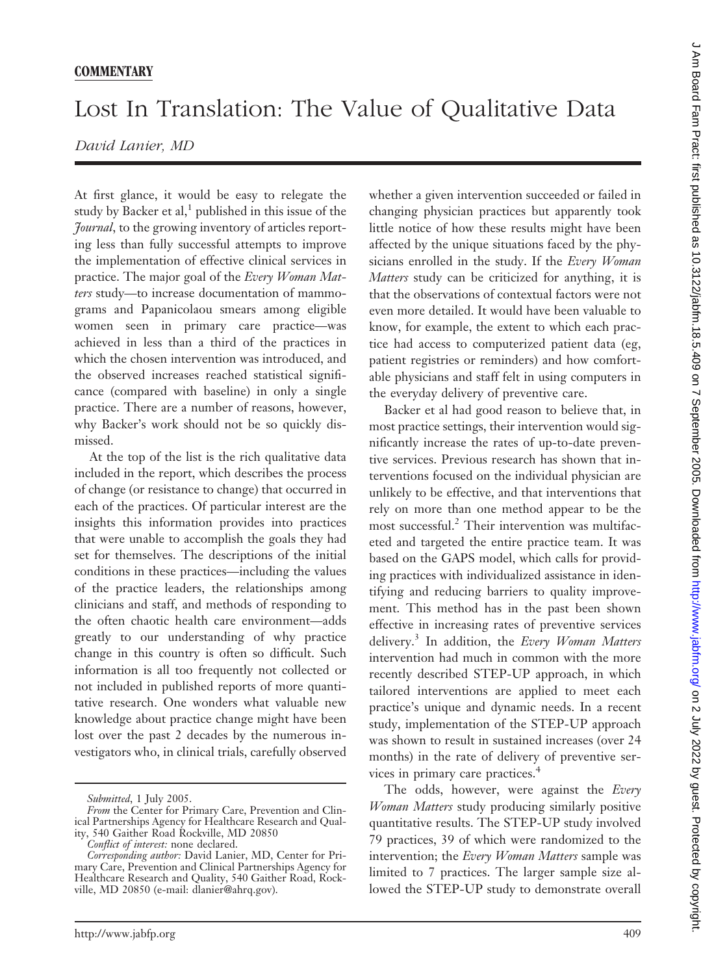## **COMMENTARY**

## Lost In Translation: The Value of Qualitative Data

## *David Lanier, MD*

At first glance, it would be easy to relegate the study by Backer et al, $<sup>1</sup>$  published in this issue of the</sup> *Journal*, to the growing inventory of articles reporting less than fully successful attempts to improve the implementation of effective clinical services in practice. The major goal of the *Every Woman Matters* study—to increase documentation of mammograms and Papanicolaou smears among eligible women seen in primary care practice—was achieved in less than a third of the practices in which the chosen intervention was introduced, and the observed increases reached statistical significance (compared with baseline) in only a single practice. There are a number of reasons, however, why Backer's work should not be so quickly dismissed.

At the top of the list is the rich qualitative data included in the report, which describes the process of change (or resistance to change) that occurred in each of the practices. Of particular interest are the insights this information provides into practices that were unable to accomplish the goals they had set for themselves. The descriptions of the initial conditions in these practices—including the values of the practice leaders, the relationships among clinicians and staff, and methods of responding to the often chaotic health care environment—adds greatly to our understanding of why practice change in this country is often so difficult. Such information is all too frequently not collected or not included in published reports of more quantitative research. One wonders what valuable new knowledge about practice change might have been lost over the past 2 decades by the numerous investigators who, in clinical trials, carefully observed

whether a given intervention succeeded or failed in changing physician practices but apparently took little notice of how these results might have been affected by the unique situations faced by the physicians enrolled in the study. If the *Every Woman Matters* study can be criticized for anything, it is that the observations of contextual factors were not even more detailed. It would have been valuable to know, for example, the extent to which each practice had access to computerized patient data (eg, patient registries or reminders) and how comfortable physicians and staff felt in using computers in the everyday delivery of preventive care.

Backer et al had good reason to believe that, in most practice settings, their intervention would significantly increase the rates of up-to-date preventive services. Previous research has shown that interventions focused on the individual physician are unlikely to be effective, and that interventions that rely on more than one method appear to be the most successful.2 Their intervention was multifaceted and targeted the entire practice team. It was based on the GAPS model, which calls for providing practices with individualized assistance in identifying and reducing barriers to quality improvement. This method has in the past been shown effective in increasing rates of preventive services delivery.3 In addition, the *Every Woman Matters* intervention had much in common with the more recently described STEP-UP approach, in which tailored interventions are applied to meet each practice's unique and dynamic needs. In a recent study, implementation of the STEP-UP approach was shown to result in sustained increases (over 24 months) in the rate of delivery of preventive services in primary care practices.4

The odds, however, were against the *Every Woman Matters* study producing similarly positive quantitative results. The STEP-UP study involved 79 practices, 39 of which were randomized to the intervention; the *Every Woman Matters* sample was limited to 7 practices. The larger sample size allowed the STEP-UP study to demonstrate overall

*Submitted*, 1 July 2005.

*From* the Center for Primary Care, Prevention and Clinical Partnerships Agency for Healthcare Research and Quality, 540 Gaither Road Rockville, MD 20850

*Conflict of interest:* none declared.

*Corresponding author:* David Lanier, MD, Center for Primary Care, Prevention and Clinical Partnerships Agency for Healthcare Research and Quality, 540 Gaither Road, Rockville, MD 20850 (e-mail: dlanier@ahrq.gov).